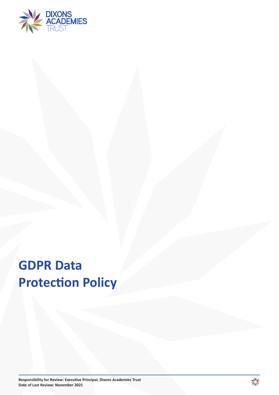

# **GDPR Data Protection Policy**

**Responsibility for Review: Executive Principal, Dixons Academies Trust Date of Last Review: November 2021**

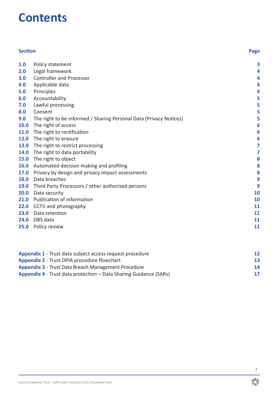## **Contents**

| <b>Section</b> |                                                                    | Page      |
|----------------|--------------------------------------------------------------------|-----------|
| 1.0            | Policy statement                                                   | 3         |
| 2.0            | Legal framework                                                    | 4         |
| 3.0            | <b>Controller and Processor</b>                                    | 4         |
| 4.0            | Applicable data                                                    | 4         |
| 5.0            | Principles                                                         | 4         |
| 6.0            | Accountability                                                     | 5         |
| 7.0            | Lawful processing                                                  | 5         |
| 8.0            | Consent                                                            | 5         |
| 9.0            | The right to be informed / Sharing Personal Data (Privacy Notices) | 5         |
| 10.0           | The right of access                                                | 6         |
| 11.0           | The right to rectification                                         | 6         |
| 12.0           | The right to erasure                                               | 6         |
| 13.0           | The right to restrict processing                                   | 7         |
| 14.0           | The right to data portability                                      | 7         |
| 15.0           | The right to object                                                | 8         |
| 16.0           | Automated decision making and profiling                            | 8         |
| 17.0           | Privacy by design and privacy impact assessments                   | 8         |
| 18.0           | Data breaches                                                      | 9         |
| 19.0           | Third Party Processors / other authorised persons                  | 9         |
| 20.0           | Data security                                                      | 10        |
| 21.0           | Publication of information                                         | 10        |
| 22.0           | CCTV and photography                                               | 11        |
| 23.0           | Data retention                                                     | <b>11</b> |
| 24.0           | DBS data                                                           | 11        |
| 25.0           | Policy review                                                      | 11        |

| <b>Appendix 1</b> - Trust data subject access request procedure          | 12 |
|--------------------------------------------------------------------------|----|
| <b>Appendix 2 - Trust DPIA procedure flowchart</b>                       | 13 |
| <b>Appendix 3 - Trust Data Breach Management Procedure</b>               | 14 |
|                                                                          | 17 |
| <b>Appendix 4</b> - Trust data protection – Data Sharing Guidance (SARs) |    |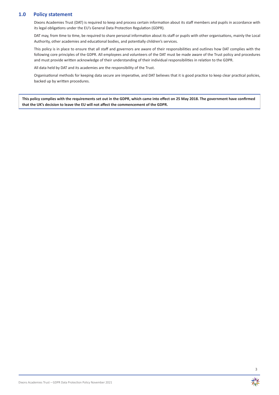## **1.0 Policy statement**

Dixons Academies Trust (DAT) is required to keep and process certain information about its staff members and pupils in accordance with its legal obligations under the EU's General Data Protection Regulation (GDPR).

DAT may, from time to time, be required to share personal information about its staff or pupils with other organisations, mainly the Local Authority, other academies and educational bodies, and potentially children's services.

This policy is in place to ensure that all staff and governors are aware of their responsibilities and outlines how DAT complies with the following core principles of the GDPR. All employees and volunteers of the DAT must be made aware of the Trust policy and procedures and must provide written acknowledge of their understanding of their individual responsibilities in relation to the GDPR.

All data held by DAT and its academies are the responsibility of the Trust.

Organisational methods for keeping data secure are imperative, and DAT believes that it is good practice to keep clear practical policies, backed up by written procedures.

**This policy complies with the requirements set out in the GDPR, which came into effect on 25 May 2018. The government have confirmed that the UK's decision to leave the EU will not affect the commencement of the GDPR.**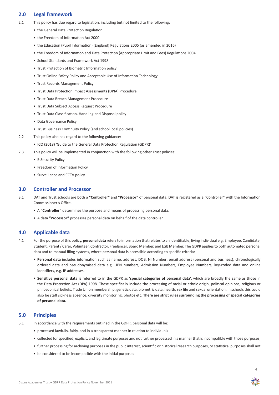## **2.0 Legal framework**

- 2.1 This policy has due regard to legislation, including but not limited to the following:
	- the General Data Protection Regulation
	- the Freedom of Information Act 2000
	- the Education (Pupil Information) (England) Regulations 2005 (as amended in 2016)
	- the Freedom of Information and Data Protection (Appropriate Limit and Fees) Regulations 2004
	- School Standards and Framework Act 1998
	- Trust Protection of Biometric Information policy
	- Trust Online Safety Policy and Acceptable Use of Information Technology
	- Trust Records Management Policy
	- Trust Data Protection Impact Assessments (DPIA) Procedure
	- Trust Data Breach Management Procedure
	- Trust Data Subject Access Request Procedure
	- Trust Data Classification, Handling and Disposal policy
	- Data Governance Policy
	- Trust Business Continuity Policy (and school local policies)
- 2.2 This policy also has regard to the following guidance:
	- ICO (2018) 'Guide to the General Data Protection Regulation (GDPR)'
- 2.3 This policy will be implemented in conjunction with the following other Trust policies:
	- E-Security Policy
	- Freedom of Information Policy
	- Surveillance and CCTV policy

#### **3.0 Controller and Processor**

- 3.1 DAT and Trust schools are both a **"Controller"** and **"Processor"** of personal data. DAT is registered as a "Controller" with the Information Commissioner's Office.
	- A **"Controller"** determines the purpose and means of processing personal data.
	- A data **"Processor"** processes personal data on behalf of the data controller.

## **4.0 Applicable data**

- 4.1 For the purpose of this policy, **personal data** refersto information that relatesto an identifiable, living individual e.g. Employee, Candidate, Student, Parent/ Carer, Volunteer, Contractor, Freelancer, Board Member, and LGB Member. The GDPR appliesto both automated personal data and to manual filing systems, where personal data is accessible according to specific criteria:-
	- **• Personal data** includes information such as name, address, DOB, NI Number; email address (personal and business), chronologically ordered data and pseudonymised data e.g. UPN numbers, Admission Numbers, Employee Numbers, key-coded data and online identifiers, e.g. IP addresses.
	- **• Sensitive personal data** is referred to in the GDPR as **'special categories of personal data',** which are broadly the same as those in the Data Protection Act (DPA) 1998. These specifically include the processing of racial or ethnic origin, political opinions, religious or philosophical beliefs, Trade Union membership, genetic data, biometric data, health, sex life and sexual orientation. In schools this could also be staff sickness absence, diversity monitoring, photos etc. **There are strict rules surrounding the processing of special categories of personal data.**

## **5.0 Principles**

- 5.1 In accordance with the requirements outlined in the GDPR, personal data will be:
	- processed lawfully, fairly, and in a transparent manner in relation to individuals
	- collected forspecified, explicit, and legitimate purposes and not further processed in a mannerthat isincompatible with those purposes;
	- further processing for archiving purposes in the public interest, scientific or historical research purposes, or statistical purposes shall not
	- be considered to be incompatible with the initial purposes

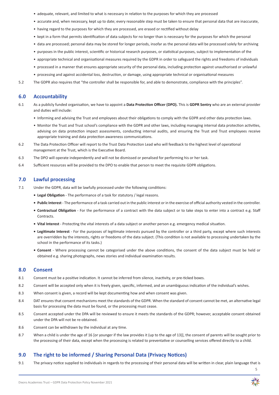- adequate, relevant, and limited to what is necessary in relation to the purposes for which they are processed
- accurate and, when necessary, kept up to date; every reasonable step must be taken to ensure that personal data that are inaccurate,
- having regard to the purposes for which they are processed, are erased or rectified without delay
- kept in a form that permits identification of data subjects for no longer than is necessary for the purposes for which the personal
- data are processed; personal data may be stored for longer periods, insofar as the personal data will be processed solely for archiving
- purposes in the public interest, scientific or historical research purposes, or statistical purposes, subject to implementation of the
- appropriate technical and organisational measures required by the GDPR in order to safeguard the rights and freedoms of individuals
- processed in a manner that ensures appropriate security of the personal data, including protection against unauthorised or unlawful
- processing and against accidental loss, destruction, or damage, using appropriate technical or organisational measures
- 5.2 The GDPR also requires that "the controller shall be responsible for, and able to demonstrate, compliance with the principles".

#### **6.0 Accountability**

- 6.1 As a publicly funded organisation, we have to appoint a **Data Protection Officer (DPO).** This is **GDPR Sentry** who are an external provider and duties will include:
	- Informing and advising the Trust and employees about their obligations to comply with the GDPR and other data protection laws.
	- Monitor the Trust and Trust school's compliance with the GDPR and other laws, including managing internal data protection activities, advising on data protection impact assessments, conducting internal audits, and ensuring the Trust and Trust employees receive appropriate training and data protection awareness communications.
- 6.2 The Data Protection Officer will report to the Trust Data Protection Lead who will feedback to the highest level of operational management at the Trust, which is the Executive Board.
- 6.3 The DPO will operate independently and will not be dismissed or penalised for performing his or her task.
- 6.4 Sufficient resources will be provided to the DPO to enable that person to meet the requisite GDPR obligations.

#### **7.0 Lawful processing**

- 7.1 Under the GDPR, data will be lawfully processed under the following conditions:
	- **• Legal Obligation** The performance of a task for statutory / legal reasons.
	- **• Public Interest**  The performance of a task carried out in the public interest or in the exercise of official authority vested in the controller.
	- **• Contractual Obligation** For the performance of a contract with the data subject or to take steps to enter into a contract e.g. Staff Contracts.
	- **• Vital Interest** Protecting the vital interests of a data subject or another person e.g. emergency medical situation.
	- **• Legitimate Interest** For the purposes of legitimate interests pursued by the controller or a third party, except where such interests are overridden by the interests, rights or freedoms of the data subject. (This condition is not available to processing undertaken by the school in the performance of its tasks.)
	- **• Consent** Where processing cannot be categorised under the above conditions, the consent of the data subject must be held or obtained e.g. sharing photographs, news stories and individual examination results.

#### **8.0 Consent**

- 8.1 Consent must be a positive indication. It cannot be inferred from silence, inactivity, or pre-ticked boxes.
- 8.2 Consent will be accepted only when it is freely given, specific, informed, and an unambiguous indication of the individual's wishes.
- 8.3 When consent is given, a record will be kept documenting how and when consent was given.
- 8.4 DAT ensures that consent mechanisms meet the standards of the GDPR. When the standard of consent cannot be met, an alternative legal basis for processing the data must be found, or the processing must cease.
- 8.5 Consent accepted under the DPA will be reviewed to ensure it meets the standards of the GDPR; however, acceptable consent obtained under the DPA will not be re-obtained.
- 8.6 Consent can be withdrawn by the individual at any time.
- 8.7 When a child is under the age of 16 [or younger if the law provides it (up to the age of 13)], the consent of parents will be sought prior to the processing of their data, except when the processing is related to preventative or counselling services offered directly to a child.

## **9.0 The right to be informed / Sharing Personal Data (Privacy Notices)**

9.1 The privacy notice supplied to individuals in regards to the processing of their personal data will be written in clear, plain language that is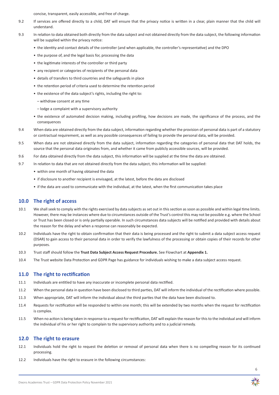concise, transparent, easily accessible, and free of charge.

- 9.2 If services are offered directly to a child, DAT will ensure that the privacy notice is written in a clear, plain manner that the child will understand.
- 9.3 In relation to data obtained both directly from the data subject and not obtained directly from the data subject, the following information will be supplied within the privacy notice:
	- the identity and contact details of the controller (and when applicable, the controller's representative) and the DPO
	- the purpose of, and the legal basis for, processing the data
	- the legitimate interests of the controller or third party
	- any recipient or categories of recipients of the personal data
	- details of transfers to third countries and the safeguards in place
	- the retention period of criteria used to determine the retention period
	- the existence of the data subject's rights, including the right to:
		- withdraw consent at any time
		- lodge a complaint with a supervisory authority
	- the existence of automated decision making, including profiling, how decisions are made, the significance of the process, and the consequences
- 9.4 When data are obtained directly from the data subject, information regarding whether the provision of personal data is part of a statutory or contractual requirement, as well as any possible consequences of failing to provide the personal data, will be provided.
- 9.5 When data are not obtained directly from the data subject, information regarding the categories of personal data that DAT holds, the source that the personal data originates from, and whether it came from publicly accessible sources, will be provided.
- 9.6 For data obtained directly from the data subject, this information will be supplied at the time the data are obtained.
- 9.7 In relation to data that are not obtained directly from the data subject, this information will be supplied:
	- within one month of having obtained the data
	- if disclosure to another recipient is envisaged, at the latest, before the data are disclosed
	- if the data are used to communicate with the individual, at the latest, when the first communication takes place

## **10.0 The right of access**

- 10.1 We shall seek to comply with the rights exercised by data subjects as set out in this section as soon as possible and within legal time limits. However, there may be instances where due to circumstances outside of the Trust's control this may not be possible e.g. where the School or Trust has been closed or is only partially operable. In such circumstances data subjects will be notified and provided with details about the reason for the delay and when a response can reasonably be expected.
- 10.2 Individuals have the right to obtain confirmation that their data is being processed and the right to submit a data subject access request (DSAR) to gain access to their personal data in order to verify the lawfulness of the processing or obtain copies of their records for other purposes.
- 10.3 Trust staff should follow the **Trust Data Subject Access Request Procedure.** See Flowchart at **Appendix 1.**
- 10.4 The Trust website Data Protection and GDPR Page has guidance for individuals wishing to make a data subject access request.

## **11.0 The right to rectification**

- 11.1 Individuals are entitled to have any inaccurate or incomplete personal data rectified.
- 11.2 When the personal data in question have been disclosed to third parties, DAT will inform the individual of the rectification where possible.
- 11.3 When appropriate, DAT will inform the individual about the third parties that the data have been disclosed to.
- 11.4 Requests for rectification will be responded to within one month; this will be extended by two months when the request for rectification is complex.
- 11.5 When no action is being taken in response to a request for rectification, DAT will explain the reason for thisto the individual and will inform the individual of his or her right to complain to the supervisory authority and to a judicial remedy.

## **12.0 The right to erasure**

- 12.1 Individuals hold the right to request the deletion or removal of personal data when there is no compelling reason for its continued processing.
- 12.2 Individuals have the right to erasure in the following circumstances:

6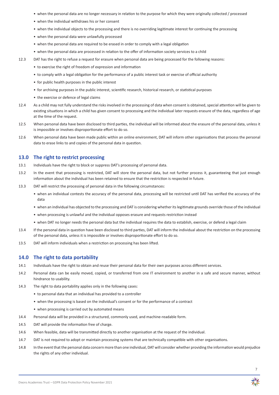- when the personal data are no longer necessary in relation to the purpose for which they were originally collected / processed
- when the individual withdraws his or her consent
- when the individual objects to the processing and there is no overriding legitimate interest for continuing the processing
- when the personal data were unlawfully processed
- when the personal data are required to be erased in order to comply with a legal obligation
- when the personal data are processed in relation to the offer of information society services to a child
- 12.3 DAT has the right to refuse a request for erasure when personal data are being processed for the following reasons:
	- to exercise the right of freedom of expression and information
	- to comply with a legal obligation for the performance of a public interest task or exercise of official authority
	- for public health purposes in the public interest
	- for archiving purposes in the public interest, scientific research, historical research, or statistical purposes
	- the exercise or defence of legal claims
- 12.4 As a child may not fully understand the risks involved in the processing of data when consent is obtained, special attention will be given to existing situations in which a child has given consent to processing and the individual later requests erasure of the data, regardless of age at the time of the request.
- 12.5 When personal data have been disclosed to third parties, the individual will be informed about the erasure of the personal data, unless it is impossible or involves disproportionate effort to do so.
- 12.6 When personal data have been made public within an online environment, DAT will inform other organisations that process the personal data to erase links to and copies of the personal data in question.

### **13.0 The right to restrict processing**

- 13.1 Individuals have the right to block or suppress DAT's processing of personal data.
- 13.2 In the event that processing is restricted, DAT will store the personal data, but not further process it, guaranteeing that just enough information about the individual has been retained to ensure that the restriction is respected in future.
- 13.3 DAT will restrict the processing of personal data in the following circumstances:
	- when an individual contests the accuracy of the personal data, processing will be restricted until DAT has verified the accuracy of the data
	- when an individual has objected to the processing and DAT is considering whether itslegitimate grounds override those of the individual
	- when processing is unlawful and the individual opposes erasure and requests restriction instead
	- when DAT no longer needs the personal data but the individual requires the data to establish, exercise, or defend a legal claim
- 13.4 If the personal data in question have been disclosed to third parties, DAT will inform the individual about the restriction on the processing of the personal data, unless it is impossible or involves disproportionate effort to do so.
- 13.5 DAT will inform individuals when a restriction on processing has been lifted.

#### **14.0 The right to data portability**

- 14.1 Individuals have the right to obtain and reuse their personal data for their own purposes across different services.
- 14.2 Personal data can be easily moved, copied, or transferred from one IT environment to another in a safe and secure manner, without hindrance to usability.
- 14.3 The right to data portability applies only in the following cases:
	- to personal data that an individual has provided to a controller
	- when the processing is based on the individual's consent or for the performance of a contract
	- when processing is carried out by automated means
- 14.4 Personal data will be provided in a structured, commonly used, and machine-readable form.
- 14.5 DAT will provide the information free of charge.
- 14.6 When feasible, data will be transmitted directly to another organisation at the request of the individual.
- 14.7 DAT is not required to adopt or maintain processing systems that are technically compatible with other organisations.
- 14.8 In the event that the personal data concern more than one individual, DAT will consider whether providing the information would prejudice the rights of any other individual.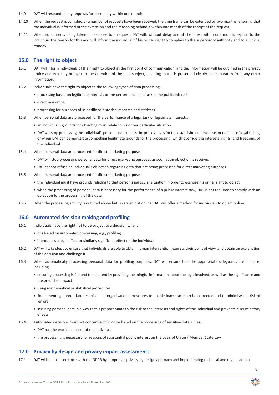- 14.9 DAT will respond to any requests for portability within one month.
- 14.10 When the request is complex, or a number of requests have been received, the time frame can be extended by two months, ensuring that the individual is informed of the extension and the reasoning behind it within one month of the receipt of the request.
- 14.11 When no action is being taken in response to a request, DAT will, without delay and at the latest within one month, explain to the individual the reason for this and will inform the individual of his or her right to complain to the supervisory authority and to a judicial remedy.

## **15.0 The right to object**

- 15.1 DAT will inform individuals of their right to object at the first point of communication, and this information will be outlined in the privacy notice and explicitly brought to the attention of the data subject, ensuring that it is presented clearly and separately from any other information.
- 15.2 Individuals have the right to object to the following types of data processing:
	- processing based on legitimate interests or the performance of a task in the public interest
	- direct marketing
	- processing for purposes of scientific or historical research and statistics
- 15.3 When personal data are processed for the performance of a legal task or legitimate interests:
	- an individual's grounds for objecting must relate to his or her particular situation
	- DAT will stop processing the individual's personal data unless the processing is for the establishment, exercise, or defence of legal claims, or when DAT can demonstrate compelling legitimate grounds for the processing, which override the interests, rights, and freedoms of the individual
- 15.4 When personal data are processed for direct marketing purposes:
	- DAT will stop processing personal data for direct marketing purposes as soon as an objection is received
	- DAT cannot refuse an individual's objection regarding data that are being processed for direct marketing purposes
- 15.5 When personal data are processed for direct marketing purposes:
	- the individual must have grounds relating to that person's particular situation in order to exercise his or her right to object
	- when the processing of personal data is necessary for the performance of a public interest task, DAT is not required to comply with an objection to the processing of the data
- 15.6 When the processing activity is outlined above but is carried out online, DAT will offer a method for individuals to object online.

## **16.0 Automated decision making and profiling**

- 16.1 Individuals have the right not to be subject to a decision when:
	- it is based on automated processing, e.g., profiling
	- it produces a legal effect or similarly significant effect on the individual
- 16.2 DAT will take steps to ensure that individuals are able to obtain human intervention, express their point of view, and obtain an explanation of the decision and challenge it.
- 16.3 When automatically processing personal data for profiling purposes, DAT will ensure that the appropriate safeguards are in place, including:
	- ensuring processing is fair and transparent by providing meaningful information about the logic involved, as well as the significance and the predicted impact
	- using mathematical or statistical procedures
	- implementing appropriate technical and organisational measures to enable inaccuracies to be corrected and to minimise the risk of errors
	- securing personal data in a way that is proportionate to the risk to the interests and rights of the individual and prevents discriminatory effects
- 16.4 Automated decisions must not concern a child or be based on the processing of sensitive data, unless:
	- DAT has the explicit consent of the individual
	- the processing is necessary for reasons of substantial public interest on the basis of Union / Member State Law

## **17.0 Privacy by design and privacy impact assessments**

17.1 DAT will act in accordance with the GDPR by adopting a privacy-by-design approach and implementing technical and organisational

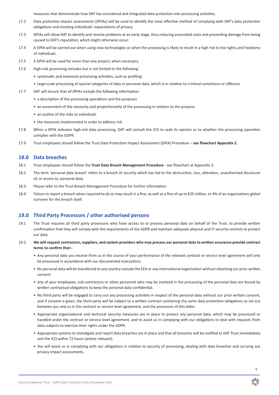measures that demonstrate how DAT has considered and integrated data protection into processing activities.

- 17.2 Data protection impact assessments (DPIAs) will be used to identify the most effective method of complying with DAT's data protection obligations and meeting individuals' expectations of privacy.
- 17.3 DPIAs will allow DAT to identify and resolve problems at an early stage, thus reducing associated costs and preventing damage from being caused to DAT's reputation, which might otherwise occur.
- 17.4 A DPIA will be carried out when using new technologies or when the processing is likely to result in a high risk to the rights and freedoms of individuals.
- 17.5 A DPIA will be used for more than one project, when necessary.
- 17.6 High-risk processing includes but is not limited to the following:
	- systematic and extensive processing activities, such as profiling
	- large-scale processing of special categories of data or personal data, which is in relation to criminal convictions or offences
- 17.7 DAT will ensure that all DPIAs include the following information:
	- a description of the processing operations and the purposes
	- an assessment of the necessity and proportionality of the processing in relation to the purpose
	- an outline of the risks to individuals
	- the measures implemented in order to address risk
- 17.8 When a DPIA indicates high-risk data processing, DAT will consult the ICO to seek its opinion as to whether the processing operation complies with the GDPR.
- 17.9 Trust employees should follow the Trust Data Protection Impact Assessment (DPIA) Procedure **see flowchart Appendix 2.**

## **18.0 Data breaches**

- 18.1 Trust employees should follow the **Trust Data Breach Management Procedure** see flowchart at Appendix 3.
- 18.2 The term 'personal data breach' refers to a breach of security which has led to the destruction, loss, alteration, unauthorised disclosure of, or access to, personal data.
- 18.3 Please refer to the Trust Breach Management Procedure for further information.
- 18.4 Failure to report a breach when required to do so may result in a fine, as well as a fine of up to €20 million, or 4% of an organisations global turnover for the breach itself.

## **19.0 Third Party Processors / other authorised persons**

- 19.1 The Trust requires all third party processors who have access to or process personal data on behalf of the Trust, to provide written confirmation that they will comply with the requirements of the GDPR and maintain adequate physical and IT security controls to protect our data.
- 19.2 **We will request contractors, suppliers, and system providers who may process our personal data to written assurance provide contract terms to confirm that:-** 
	- Any personal data you receive from us in the course of your performance of the relevant contract or service level agreement will only be processed in accordance with our documented instructions.
	- No personal data will be transferred to any country outside the EEA or any international organisation without obtaining our prior written consent.
	- Any of your employees, sub-contractors or other personnel who may be involved in the processing of the personal data are bound by written contractual obligations to keep the personal data confidential.
	- No third party will be engaged to carry out any processing activities in respect of the personal data without our prior written consent, and if consent is given, the third party will be subject to a written contract containing the same data protection obligations as set out between you and us in the contract or service level agreement, and the provisions of this letter.
	- Appropriate organisational and technical security measures are in place to protect any personal data, which may be processed or handled under the contract or service level agreement, and to assist us in complying with our obligations to deal with requests from data subjects to exercise their rights under the GDPR.
	- Appropriate systems to investigate and report data breaches are in place and that all breaches will be notified to DAT Trust immediately and the ICO within 72 hours (where relevant).
	- You will assist us in complying with our obligations in relation to security of processing, dealing with data breaches and carrying out privacy impact assessments.

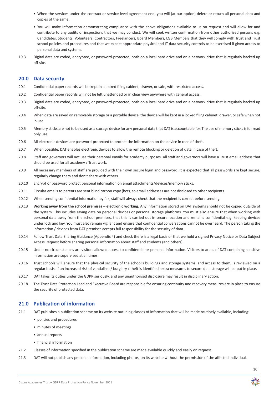- When the services under the contract or service level agreement end, you will (at our option) delete or return all personal data and copies of the same.
- You will make information demonstrating compliance with the above obligations available to us on request and will allow for and contribute to any audits or inspections that we may conduct. We will seek written confirmation from other authorised persons e.g. Candidates, Students, Volunteers, Contractors, Freelancers, Board Members, LGB Members that they will comply with Trust and Trust school policies and procedures and that we expect appropriate physical and IT data security controls to be exercised if given access to personal data and systems.
- 19.3 Digital data are coded, encrypted, or password-protected, both on a local hard drive and on a network drive that is regularly backed up off-site.

## **20.0 Data security**

- 20.1 Confidential paper records will be kept in a locked filing cabinet, drawer, or safe, with restricted access.
- 20.2 Confidential paper records will not be left unattended or in clear view anywhere with general access.
- 20.3 Digital data are coded, encrypted, or password-protected, both on a local hard drive and on a network drive that is regularly backed up off-site.
- 20.4 When data are saved on removable storage or a portable device, the device will be kept in a locked filing cabinet, drawer, or safe when not in use.
- 20.5 Memory sticks are not to be used as a storage device for any personal data that DAT is accountable for. The use of memory sticks is for read only use.
- 20.6 All electronic devices are password-protected to protect the information on the device in case of theft.
- 20.7 When possible, DAT enables electronic devices to allow the remote blocking or deletion of data in case of theft.
- 20.8 Staff and governors will not use their personal emails for academy purposes. All staff and governors will have a Trust email address that should be used for all academy / Trust work.
- 20.9 All necessary members of staff are provided with their own secure login and password. It is expected that all passwords are kept secure, regularly change them and don't share with others.
- 20.10 Encrypt or password protect personal information on email attachments/devices/memory sticks.
- 20.11 Circular emails to parents are sent blind carbon copy (bcc), so email addresses are not disclosed to other recipients.
- 20.12 When sending confidential information by fax, staff will always check that the recipient is correct before sending.
- 20.13 **Working away from the school premises electronic working.** Any information stored on DAT systems should not be copied outside of the system. This includes saving data on personal devices or personal storage platforms. You must also ensure that when working with personal data away from the school premises, that this is carried out in secure location and remains confidential e.g. keeping devices under lock and key. You must also remain vigilant and ensure that confidential conversations cannot be overheard. The person taking the information / devices from DAT premises accepts full responsibility for the security of data.
- 20.14 Follow Trust Data Sharing Guidance (Appendix 4) and check there is a legal basis or that we hold a signed Privacy Notice or Data Subject Access Request before sharing personal information about staff and students (and others).
- 20.15 Under no circumstances are visitors allowed access to confidential or personal information. Visitors to areas of DAT containing sensitive information are supervised at all times.
- 20.16 Trust schools will ensure that the physical security of the school's buildings and storage systems, and access to them, is reviewed on a regular basis. If an increased risk of vandalism / burglary / theft is identified, extra measures to secure data storage will be put in place.
- 20.17 DAT takes its duties under the GDPR seriously, and any unauthorised disclosure may result in disciplinary action.
- 20.18 The Trust Data Protection Lead and Executive Board are responsible for ensuring continuity and recovery measures are in place to ensure the security of protected data.

## **21.0 Publication of information**

- 21.1 DAT publishes a publication scheme on its website outlining classes of information that will be made routinely available, including:
	- policies and procedures
	- minutes of meetings
	- annual reports
	- financial information
- 21.2 Classes of information specified in the publication scheme are made available quickly and easily on request.
- 21.3 DAT will not publish any personal information, including photos, on its website without the permission of the affected individual.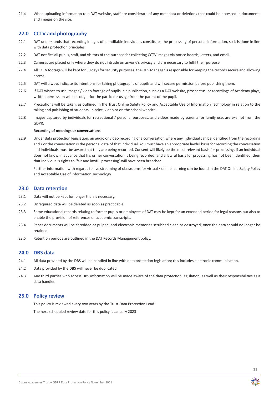21.4 When uploading information to a DAT website, staff are considerate of any metadata or deletions that could be accessed in documents and images on the site.

## **22.0 CCTV and photography**

- 22.1 DAT understands that recording images of identifiable individuals constitutes the processing of personal information, so it is done in line with data protection principles.
- 22.2 DAT notifies all pupils, staff, and visitors of the purpose for collecting CCTV images via notice boards, letters, and email.
- 22.3 Cameras are placed only where they do not intrude on anyone's privacy and are necessary to fulfil their purpose.
- 22.4 All CCTV footage will be kept for 30 days for security purposes; the OPS Manager is responsible for keeping the records secure and allowing access.
- 22.5 DAT will always indicate its intentions for taking photographs of pupils and will secure permission before publishing them.
- 22.6 If DAT wishes to use images / video footage of pupils in a publication, such as a DAT website, prospectus, or recordings of Academy plays, written permission will be sought for the particular usage from the parent of the pupil.
- 22.7 Precautions will be taken, as outlined in the Trust Online Safety Policy and Acceptable Use of Information Technology in relation to the taking and publishing of students, in print, video or on the school website.
- 22.8 Images captured by individuals for recreational / personal purposes, and videos made by parents for family use, are exempt from the GDPR.

#### **Recording of meetings or conversations**

22.9 Under data protection legislation, an audio or video recording of a conversation where any individual can be identified from the recording and / or the conversation is the personal data of that individual. You must have an appropriate lawful basis for recording the conversation and individuals must be aware that they are being recorded. Consent will likely be the most relevant basis for processing. If an individual does not know in advance that his or her conversation is being recorded, and a lawful basis for processing has not been identified, then that individual's rights to 'fair and lawful processing' will have been breached

Further information with regards to live streaming of classrooms for virtual / online learning can be found in the DAT Online Safety Policy and Acceptable Use of Information Technology.

#### **23.0 Data retention**

- 23.1 Data will not be kept for longer than is necessary.
- 23.2 Unrequired data will be deleted as soon as practicable.
- 23.3 Some educational records relating to former pupils or employees of DAT may be kept for an extended period for legal reasons but also to enable the provision of references or academic transcripts.
- 23.4 Paper documents will be shredded or pulped, and electronic memories scrubbed clean or destroyed, once the data should no longer be retained.
- 23.5 Retention periods are outlined in the DAT Records Management policy.

#### **24.0 DBS data**

- 24.1 All data provided by the DBS will be handled in line with data protection legislation; this includes electronic communication.
- 24.2 Data provided by the DBS will never be duplicated.
- 24.3 Any third parties who access DBS information will be made aware of the data protection legislation, as well as their responsibilities as a data handler.

#### **25.0 Policy review**

 This policy is reviewed every two years by the Trust Data Protection Lead The next scheduled review date for this policy is January 2023

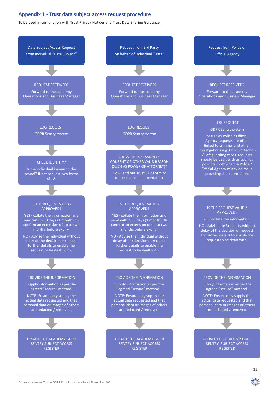## **Appendix 1 - Trust data subject access request procedure**

To be used in conjunction with Trust Privacy Notices and Trust Data Sharing Guidance .

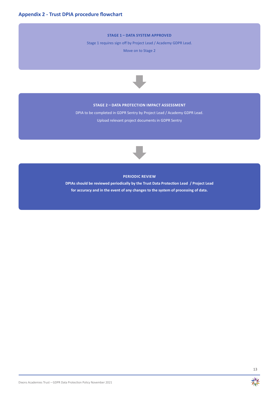#### **STAGE 1 – DATA SYSTEM APPROVED**

Stage 1 requires sign off by Project Lead / Academy GDPR Lead.

Move on to Stage 2



## **STAGE 2 – DATA PROTECTION IMPACT ASSESSMENT**

DPIA to be completed in GDPR Sentry by Project Lead / Academy GDPR Lead. Upload relevant project documents in GDPR Sentry



#### **PERIODIC REVIEW**

**DPIAs should be reviewed periodically by the Trust Data Protection Lead / Project Lead for accuracy and in the event of any changes to the system of processing of data.**

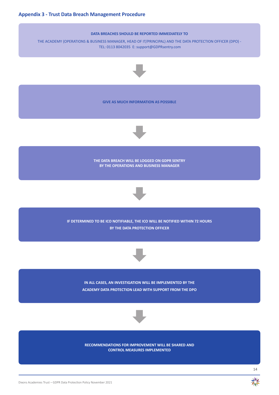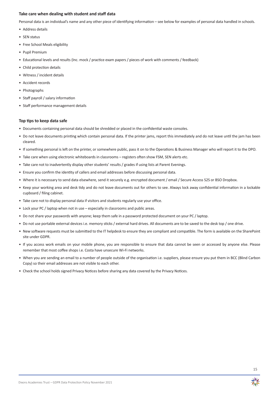#### **Take care when dealing with student and staff data**

Personal data is an individual's name and any other piece of identifying information – see below for examples of personal data handled in schools.

- Address details
- SEN status
- Free School Meals eligibility
- Pupil Premium
- Educational levels and results (Inc. mock / practice exam papers / pieces of work with comments / feedback)
- Child protection details
- Witness / incident details
- Accident records
- Photographs
- Staff payroll / salary information
- Staff performance management details

#### **Top tips to keep data safe**

- Documents containing personal data should be shredded or placed in the confidential waste consoles.
- Do not leave documents printing which contain personal data. If the printer jams, report this immediately and do not leave until the jam has been cleared.
- If something personal is left on the printer, or somewhere public, pass it on to the Operations & Business Manager who will report it to the DPO.
- Take care when using electronic whiteboards in classrooms registers often show FSM, SEN alerts etc.
- Take care not to inadvertently display other students' results / grades if using lists at Parent Evenings.
- Ensure you confirm the identity of callers and email addresses before discussing personal data.
- Where it is necessary to send data elsewhere, send it securely e.g. encrypted document / email / Secure Access S2S or BSO Dropbox.
- Keep your working area and desk tidy and do not leave documents out for others to see. Always lock away confidential information in a lockable cupboard / filing cabinet.
- Take care not to display personal data if visitors and students regularly use your office.
- Lock your PC / laptop when not in use especially in classrooms and public areas.
- Do not share your passwords with anyone; keep them safe in a password protected document on your PC / laptop.
- Do not use portable external devices i.e. memory sticks / external hard drives. All documents are to be saved to the desk top / one drive.
- New software requests must be submitted to the IT helpdesk to ensure they are compliant and compatible. The form is available on the SharePoint site under GDPR.
- If you access work emails on your mobile phone, you are responsible to ensure that data cannot be seen or accessed by anyone else. Please remember that most coffee shops i.e. Costa have unsecure Wi-Fi networks.
- When you are sending an email to a number of people outside of the organisation i.e. suppliers, please ensure you put them in BCC (Blind Carbon Copy) so their email addresses are not visible to each other.
- Check the school holds signed Privacy Notices before sharing any data covered by the Privacy Notices.

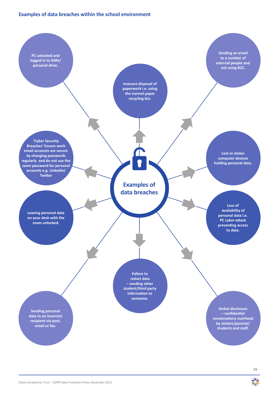## **Examples of data breaches within the school environment**



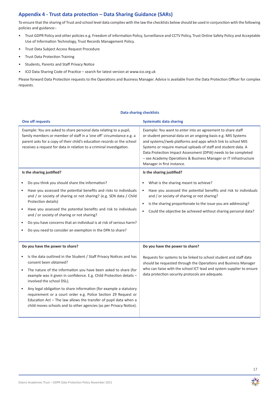## **Appendix 4 - Trust data protection – Data Sharing Guidance (SARs)**

To ensure that the sharing of Trust and school level data complies with the law the checklists below should be used in conjunction with the following policies and guidance:-

- • Trust GDPR Policy and other policies e.g. Freedom of information Policy, Surveillance and CCTV Policy, Trust Online Safety Policy and Acceptable Use of Information Technology, Trust Records Management Policy.
- • Trust Data Subject Access Request Procedure
- • Trust Data Protection Training
- • Students, Parents and Staff Privacy Notice
- • ICO Data Sharing Code of Practice search for latest version at www.ico.org.uk

Please forward Data Protection requests to the Operations and Business Manager. Advice is available from the Data Protection Officer for complex requests.

#### **Data sharing checklists**

| <b>One off requests</b>                                                                                                                                                                                                                                                                                                                                                                                                                                                                                                                                             | <b>Systematic data sharing</b>                                                                                                                                                                                                                                                                                                                                                                                                     |  |
|---------------------------------------------------------------------------------------------------------------------------------------------------------------------------------------------------------------------------------------------------------------------------------------------------------------------------------------------------------------------------------------------------------------------------------------------------------------------------------------------------------------------------------------------------------------------|------------------------------------------------------------------------------------------------------------------------------------------------------------------------------------------------------------------------------------------------------------------------------------------------------------------------------------------------------------------------------------------------------------------------------------|--|
| Example: You are asked to share personal data relating to a pupil,<br>family members or member of staff in a 'one off' circumstance e.g. a<br>parent asks for a copy of their child's education records or the school<br>receives a request for data in relation to a criminal investigation.                                                                                                                                                                                                                                                                       | Example: You want to enter into an agreement to share staff<br>or student personal data on an ongoing basis e.g. MIS Systems<br>and systems//web platforms and apps which link to school MIS<br>Systems or require manual uploads of staff and student data. A<br>Data Protection Impact Assessment (DPIA) needs to be completed<br>- see Academy Operations & Business Manager or IT Infrastructure<br>Manager in first instance. |  |
| Is the sharing justified?                                                                                                                                                                                                                                                                                                                                                                                                                                                                                                                                           | Is the sharing justified?                                                                                                                                                                                                                                                                                                                                                                                                          |  |
| Do you think you should share the information?<br>Have you assessed the potential benefits and risks to individuals<br>and / or society of sharing or not sharing? (e.g. SEN data / Child<br>Protection details)<br>Have you assessed the potential benefits and risk to individuals<br>and / or society of sharing or not sharing?<br>Do you have concerns that an individual is at risk of serious harm?<br>Do you need to consider an exemption in the DPA to share?                                                                                             | What is the sharing meant to achieve?<br>Have you assessed the potential benefits and risk to individuals<br>$\bullet$<br>and / or society of sharing or not sharing?<br>Is the sharing proportionate to the issue you are addressing?<br>$\bullet$<br>Could the objective be achieved without sharing personal data?<br>$\bullet$                                                                                                 |  |
| Do you have the power to share?                                                                                                                                                                                                                                                                                                                                                                                                                                                                                                                                     | Do you have the power to share?                                                                                                                                                                                                                                                                                                                                                                                                    |  |
| Is the data outlined in the Student / Staff Privacy Notices and has<br>consent been obtained?<br>The nature of the information you have been asked to share (for<br>$\bullet$<br>example was it given in confidence. E.g. Child Protection details -<br>involved the school DSL).<br>Any legal obligation to share information (for example a statutory<br>requirement or a court order e.g. Police Section 29 Request or<br>Education Act - The law allows the transfer of pupil data when a<br>child moves schools and to other agencies (as per Privacy Notice). | Requests for systems to be linked to school student and staff data<br>should be requested through the Operations and Business Manager<br>who can liaise with the school ICT lead and system supplier to ensure<br>data protection security protocols are adequate.                                                                                                                                                                 |  |